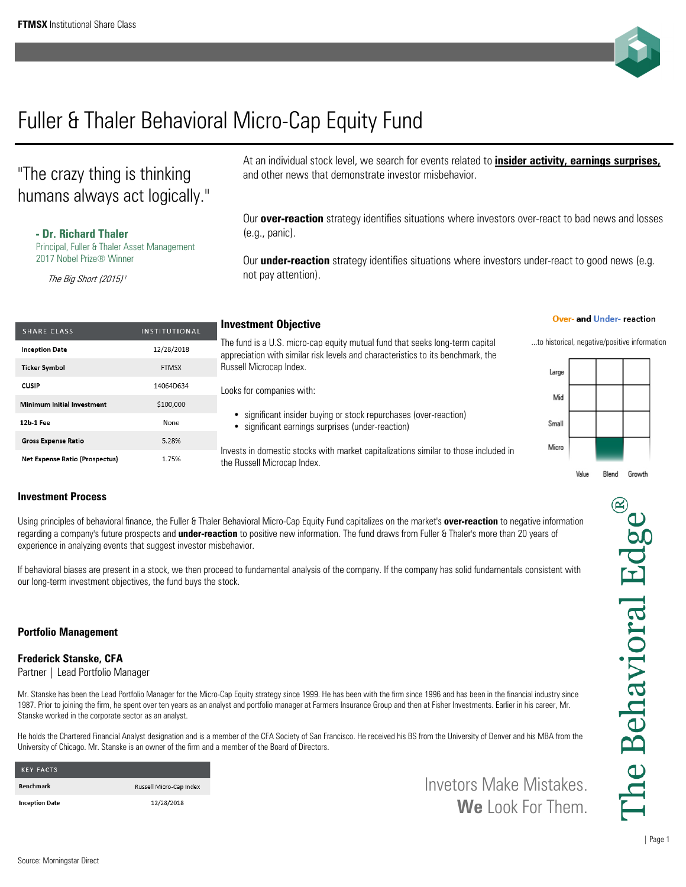

# Fuller & Thaler Behavioral Micro-Cap Equity Fund

# "The crazy thing is thinking humans always act logically."

# **- Dr. Richard Thaler**

Principal, Fuller & Thaler Asset Management 2017 Nobel Prize® Winner

The Big Short (2015)<sup>1</sup>

At an individual stock level, we search for events related to **insider activity, earnings surprises,** and other news that demonstrate investor misbehavior.

Our **over-reaction** strategy identifies situations where investors over-react to bad news and losses (e.g., panic).

Our **under-reaction** strategy identifies situations where investors under-react to good news (e.g. not pay attention).

| <b>SHARE CLASS</b>                    | <b>INSTITUTIONAL</b> |  |
|---------------------------------------|----------------------|--|
| <b>Inception Date</b>                 | 12/28/2018           |  |
| <b>Ticker Symbol</b>                  | <b>FTMSX</b>         |  |
| <b>CUSIP</b>                          | 14064D634            |  |
| <b>Minimum Initial Investment</b>     | \$100,000            |  |
| 12b-1 Fee                             | None                 |  |
| <b>Gross Expense Ratio</b>            | 5.28%                |  |
| <b>Net Expense Ratio (Prospectus)</b> | 1.75%                |  |

# **Investment Objective**

The fund is a U.S. micro-cap equity mutual fund that seeks long-term capital ...to historical, negative/positive information appreciation with similar risk levels and characteristics to its benchmark, the Russell Microcap Index.

Looks for companies with:

- significant insider buying or stock repurchases (over-reaction)
- significant earnings surprises (under-reaction)

Invests in domestic stocks with market capitalizations similar to those included in the Russell Microcap Index.

#### Over- and Under- reaction

| Large |  |  |
|-------|--|--|
| Mid   |  |  |
| Small |  |  |
| Micro |  |  |

Value Blend Growth

# **Investment Process**

Using principles of behavioral finance, the Fuller & Thaler Behavioral Micro-Cap Equity Fund capitalizes on the market's **over-reaction** to negative information regarding a company's future prospects and **under-reaction** to positive new information. The fund draws from Fuller & Thaler's more than 20 years of experience in analyzing events that suggest investor misbehavior.

If behavioral biases are present in a stock, we then proceed to fundamental analysis of the company. If the company has solid fundamentals consistent with our long-term investment objectives, the fund buys the stock.

# **Portfolio Management**

## **Frederick Stanske, CFA**

Partner | Lead Portfolio Manager

Mr. Stanske has been the Lead Portfolio Manager for the Micro-Cap Equity strategy since 1999. He has been with the firm since 1996 and has been in the financial industry since 1987. Prior to joining the firm, he spent over ten years as an analyst and portfolio manager at Farmers Insurance Group and then at Fisher Investments. Earlier in his career, Mr. Stanske worked in the corporate sector as an analyst.

He holds the Chartered Financial Analyst designation and is a member of the CFA Society of San Francisco. He received his BS from the University of Denver and his MBA from the University of Chicago. Mr. Stanske is an owner of the firm and a member of the Board of Directors.

| <b>KFY FACTS</b>      |                         |
|-----------------------|-------------------------|
| Benchmark             | Russell Micro-Cap Index |
| <b>Inception Date</b> | 12/28/2018              |

Invetors Make Mistakes. **We** Look For Them.